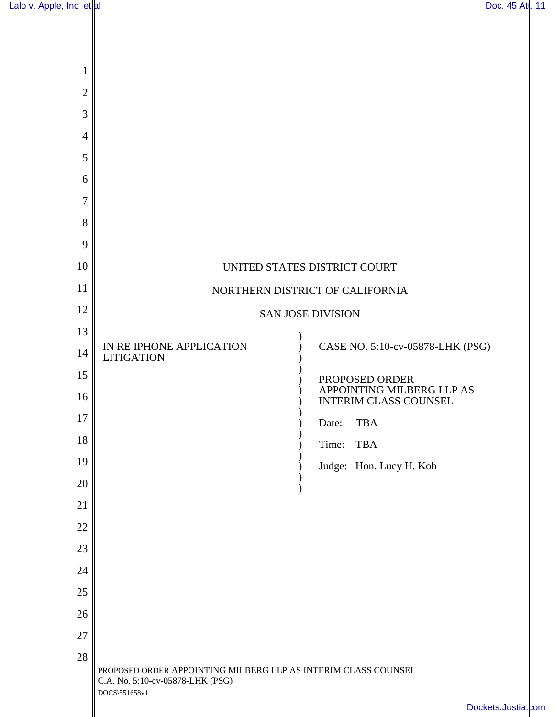| Lalo v. Apple, Inc $et $ al |  |
|-----------------------------|--|
|                             |  |

| $\mathbf 1$    |                                                                                   |  |  |
|----------------|-----------------------------------------------------------------------------------|--|--|
| $\mathbf{2}$   |                                                                                   |  |  |
| 3              |                                                                                   |  |  |
| $\overline{4}$ |                                                                                   |  |  |
| 5              |                                                                                   |  |  |
| 6              |                                                                                   |  |  |
| $\overline{7}$ |                                                                                   |  |  |
| 8              |                                                                                   |  |  |
| 9              |                                                                                   |  |  |
| 10             | UNITED STATES DISTRICT COURT                                                      |  |  |
| 11             | NORTHERN DISTRICT OF CALIFORNIA                                                   |  |  |
| 12             | <b>SAN JOSE DIVISION</b>                                                          |  |  |
| 13             |                                                                                   |  |  |
| 14             | IN RE IPHONE APPLICATION<br>CASE NO. 5:10-cv-05878-LHK (PSG)<br><b>LITIGATION</b> |  |  |
| 15             | PROPOSED ORDER                                                                    |  |  |
| 16             | APPOINTING MILBERG LLP AS<br><b>INTERIM CLASS COUNSEL</b>                         |  |  |
| 17             | <b>TBA</b><br>Date:                                                               |  |  |
| 18             | Time:<br><b>TBA</b>                                                               |  |  |
| 19             | Judge: Hon. Lucy H. Koh                                                           |  |  |
| 20             |                                                                                   |  |  |
| 21             |                                                                                   |  |  |
| 22             |                                                                                   |  |  |
| 23             |                                                                                   |  |  |
| 24             |                                                                                   |  |  |
| 25             |                                                                                   |  |  |
| 26             |                                                                                   |  |  |
| 27             |                                                                                   |  |  |
| $28\,$         | PROPOSED ORDER APPOINTING MILBERG LLP AS INTERIM CLASS COUNSEL                    |  |  |
|                | C.A. No. 5:10-cv-05878-LHK (PSG)<br>DOCS\551658v1<br>Dockets.Justia.com           |  |  |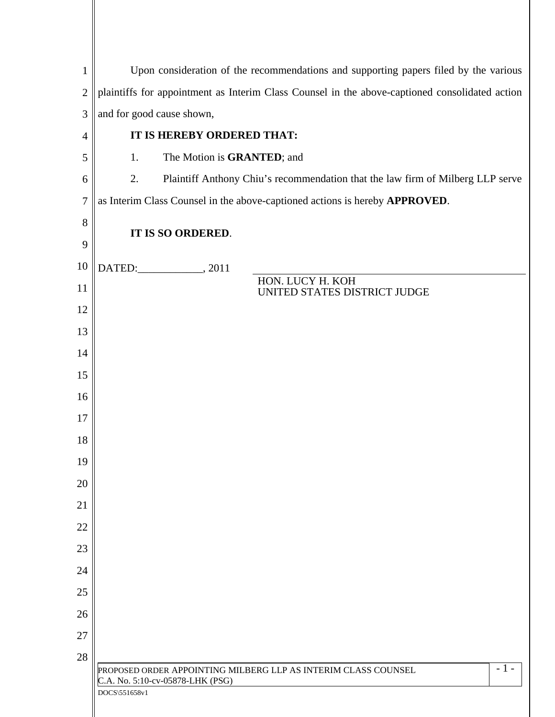| $\mathbf{1}$   | Upon consideration of the recommendations and supporting papers filed by the various                                         |  |  |
|----------------|------------------------------------------------------------------------------------------------------------------------------|--|--|
| $\overline{2}$ | plaintiffs for appointment as Interim Class Counsel in the above-captioned consolidated action                               |  |  |
| 3              | and for good cause shown,                                                                                                    |  |  |
| $\overline{4}$ | IT IS HEREBY ORDERED THAT:                                                                                                   |  |  |
| 5              | The Motion is GRANTED; and<br>1.                                                                                             |  |  |
| 6              | 2.<br>Plaintiff Anthony Chiu's recommendation that the law firm of Milberg LLP serve                                         |  |  |
| 7              | as Interim Class Counsel in the above-captioned actions is hereby APPROVED.                                                  |  |  |
| 8              | IT IS SO ORDERED.                                                                                                            |  |  |
| 9              |                                                                                                                              |  |  |
| 10             | DATED: 2011                                                                                                                  |  |  |
| 11             | HON. LUCY H. KOH<br>UNITED STATES DISTRICT JUDGE                                                                             |  |  |
| 12             |                                                                                                                              |  |  |
| 13             |                                                                                                                              |  |  |
| 14             |                                                                                                                              |  |  |
| 15             |                                                                                                                              |  |  |
| 16             |                                                                                                                              |  |  |
| 17             |                                                                                                                              |  |  |
| 18             |                                                                                                                              |  |  |
| 19             |                                                                                                                              |  |  |
| 20             |                                                                                                                              |  |  |
| 21             |                                                                                                                              |  |  |
| 22             |                                                                                                                              |  |  |
| 23             |                                                                                                                              |  |  |
| 24             |                                                                                                                              |  |  |
| 25             |                                                                                                                              |  |  |
| 26             |                                                                                                                              |  |  |
| 27<br>28       |                                                                                                                              |  |  |
|                | $-1-$<br>PROPOSED ORDER APPOINTING MILBERG LLP AS INTERIM CLASS COUNSEL<br>C.A. No. 5:10-cv-05878-LHK (PSG)<br>DOCS\551658v1 |  |  |
|                |                                                                                                                              |  |  |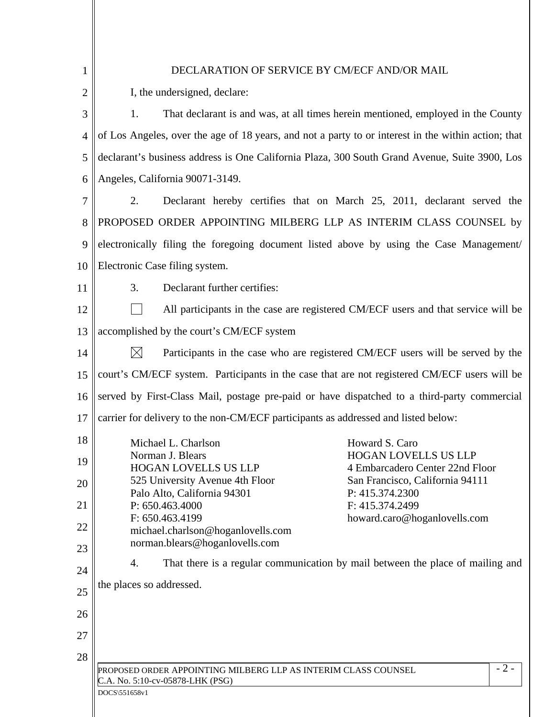| 1              | DECLARATION OF SERVICE BY CM/ECF AND/OR MAIL                                                                      |  |  |  |  |
|----------------|-------------------------------------------------------------------------------------------------------------------|--|--|--|--|
| $\overline{2}$ | I, the undersigned, declare:                                                                                      |  |  |  |  |
| 3              | 1.<br>That declarant is and was, at all times herein mentioned, employed in the County                            |  |  |  |  |
| $\overline{4}$ | of Los Angeles, over the age of 18 years, and not a party to or interest in the within action; that               |  |  |  |  |
| 5              | declarant's business address is One California Plaza, 300 South Grand Avenue, Suite 3900, Los                     |  |  |  |  |
| 6              | Angeles, California 90071-3149.                                                                                   |  |  |  |  |
| 7              | 2.<br>Declarant hereby certifies that on March 25, 2011, declarant served the                                     |  |  |  |  |
| 8              | PROPOSED ORDER APPOINTING MILBERG LLP AS INTERIM CLASS COUNSEL by                                                 |  |  |  |  |
| 9              | electronically filing the foregoing document listed above by using the Case Management/                           |  |  |  |  |
| 10             | Electronic Case filing system.                                                                                    |  |  |  |  |
| 11             | 3.<br>Declarant further certifies:                                                                                |  |  |  |  |
| 12             | All participants in the case are registered CM/ECF users and that service will be                                 |  |  |  |  |
| 13             | accomplished by the court's CM/ECF system                                                                         |  |  |  |  |
| 14             | $\boxtimes$<br>Participants in the case who are registered CM/ECF users will be served by the                     |  |  |  |  |
| 15             | court's CM/ECF system. Participants in the case that are not registered CM/ECF users will be                      |  |  |  |  |
| 16             | served by First-Class Mail, postage pre-paid or have dispatched to a third-party commercial                       |  |  |  |  |
| 17             | carrier for delivery to the non-CM/ECF participants as addressed and listed below:                                |  |  |  |  |
| 18             | Michael L. Charlson<br>Howard S. Caro                                                                             |  |  |  |  |
| 19             | <b>HOGAN LOVELLS US LLP</b><br>Norman J. Blears<br><b>HOGAN LOVELLS US LLP</b><br>4 Embarcadero Center 22nd Floor |  |  |  |  |
| 20             | 525 University Avenue 4th Floor<br>San Francisco, California 94111                                                |  |  |  |  |
| 21             | Palo Alto, California 94301<br>P: 415.374.2300<br>P: 650.463.4000<br>F: 415.374.2499                              |  |  |  |  |
| 22             | F: 650.463.4199<br>howard.caro@hoganlovells.com<br>michael.charlson@hoganlovells.com                              |  |  |  |  |
| 23             | norman.blears@hoganlovells.com                                                                                    |  |  |  |  |
| 24             | That there is a regular communication by mail between the place of mailing and<br>4.                              |  |  |  |  |
| 25             | the places so addressed.                                                                                          |  |  |  |  |
| 26             |                                                                                                                   |  |  |  |  |
| 27             |                                                                                                                   |  |  |  |  |
|                |                                                                                                                   |  |  |  |  |
| 28             |                                                                                                                   |  |  |  |  |
|                | $-2-$<br>PROPOSED ORDER APPOINTING MILBERG LLP AS INTERIM CLASS COUNSEL                                           |  |  |  |  |
|                | C.A. No. 5:10-cv-05878-LHK (PSG)<br>DOCS\551658v1                                                                 |  |  |  |  |